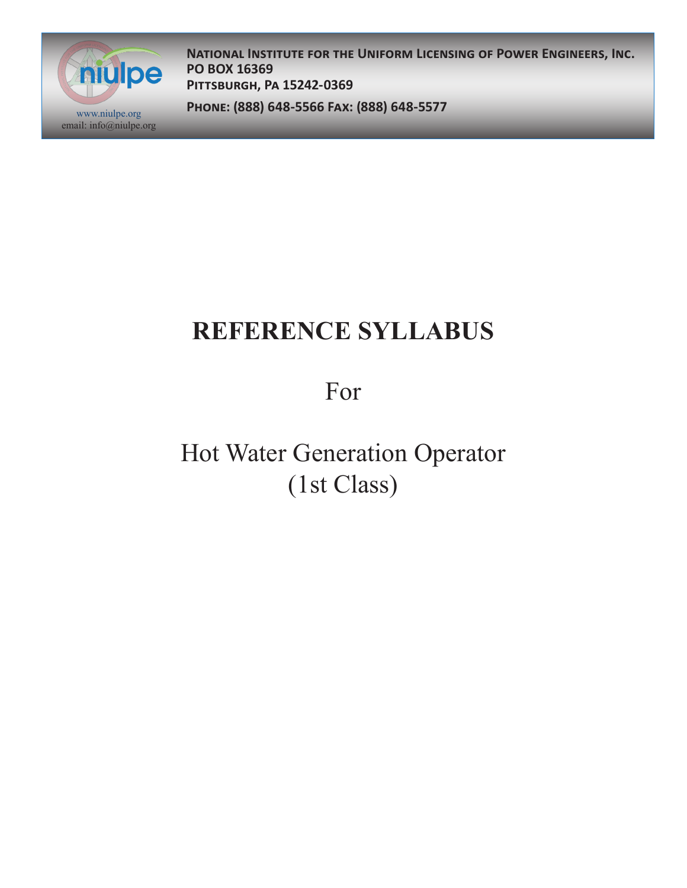

**National Institute for the Uniform Licensing of Power Engineers, Inc. PO BOX 16369 Pittsburgh, Pa 15242-0369**

**Phone: (888) 648-5566 Fax: (888) 648-5577** www.niulpe.org

# **REFERENCE SYLLABUS**

For

Hot Water Generation Operator (1st Class)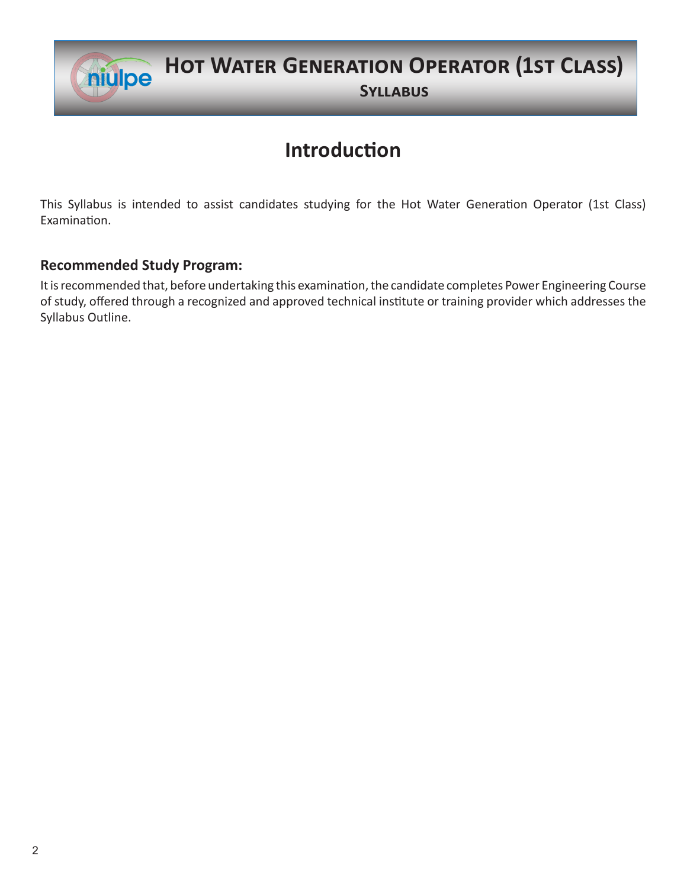

## **Hot Water Generation Operator (1st Class)**

**Syllabus**

### **Introduction**

This Syllabus is intended to assist candidates studying for the Hot Water Generation Operator (1st Class) Examination.

#### **Recommended Study Program:**

It is recommended that, before undertaking this examination, the candidate completes Power Engineering Course of study, offered through a recognized and approved technical institute or training provider which addresses the Syllabus Outline.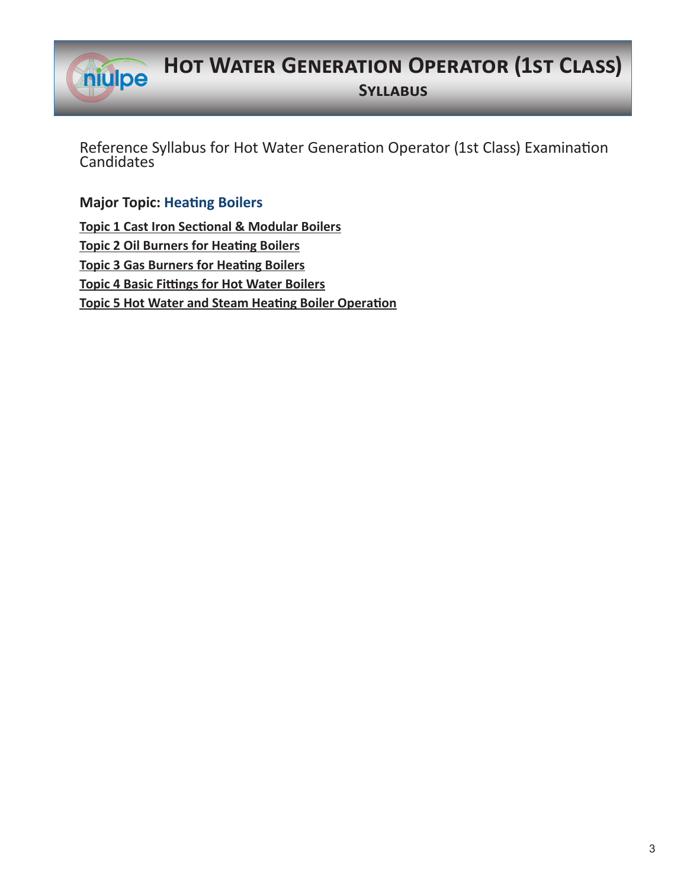

## **Hot Water Generation Operator (1st Class)**

**Syllabus**

Reference Syllabus for Hot Water Generation Operator (1st Class) Examination **Candidates** 

**Major Topic: Heating Boilers**

**Topic 1 Cast Iron Sectional & Modular Boilers Topic 2 Oil Burners for Heating Boilers Topic 3 Gas Burners for Heating Boilers Topic 4 Basic Fittings for Hot Water Boilers Topic 5 Hot Water and Steam Heating Boiler Operation**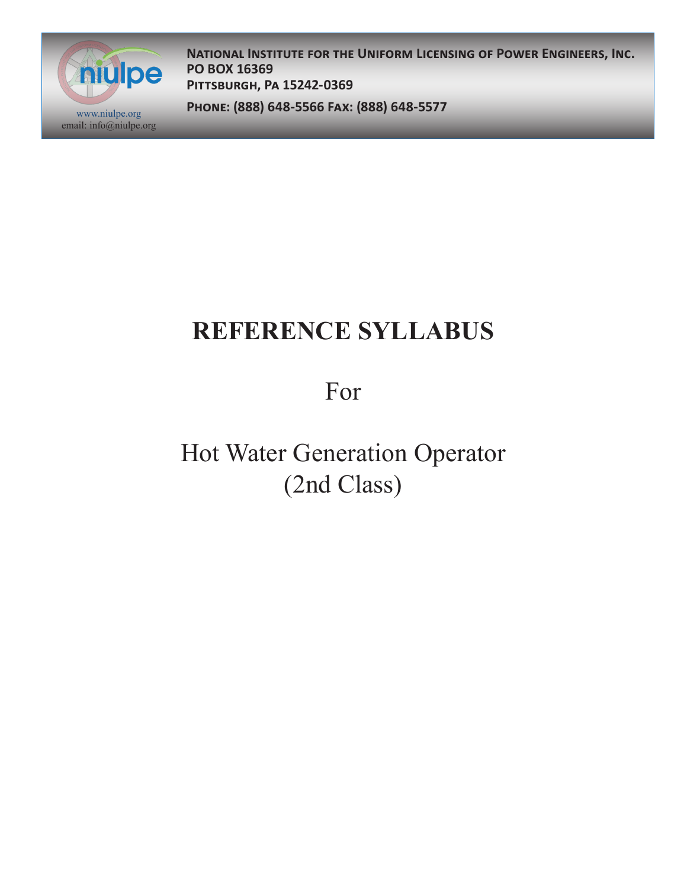

**National Institute for the Uniform Licensing of Power Engineers, Inc. PO BOX 16369 Pittsburgh, Pa 15242-0369**

**Phone: (888) 648-5566 Fax: (888) 648-5577** www.niulpe.org

# **REFERENCE SYLLABUS**

For

Hot Water Generation Operator (2nd Class)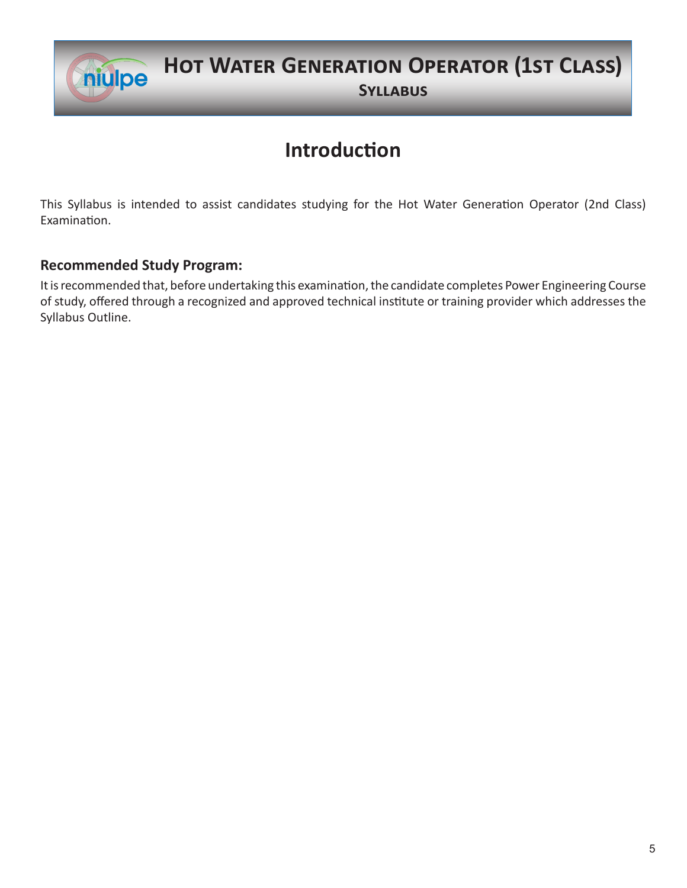

## **Hot Water Generation Operator (1st Class)**

**Syllabus**

### **Introduction**

This Syllabus is intended to assist candidates studying for the Hot Water Generation Operator (2nd Class) Examination.

#### **Recommended Study Program:**

It is recommended that, before undertaking this examination, the candidate completes Power Engineering Course of study, offered through a recognized and approved technical institute or training provider which addresses the Syllabus Outline.